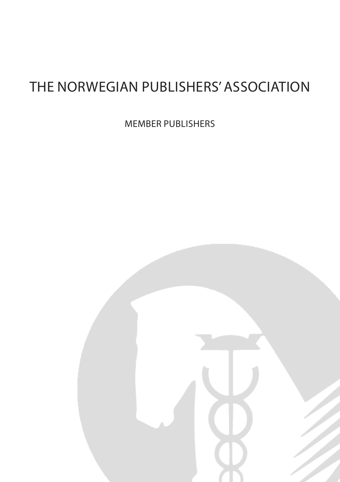### THE NORWEGIAN PUBLISHERS' ASSOCIATION

MEMBER PUBLISHERS

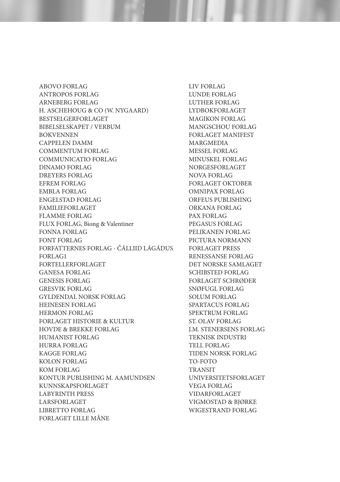ABOVO FORLAG ANTROPOS FORLAG ARNEBERG FORLAG H. ASCHEHOUG & CO (W. NYGAARD) BESTSELGERFORLAGET BIBELSELSKAPET / VERBUM BOKVENNEN CAPPELEN DAMM COMMENTUM FORLAG COMMUNICATIO FORLAG DINAMO FORLAG DREYERS FORLAG EFREM FORLAG EMBLA FORLAG ENGELSTAD FORLAG FAMILIEFORLAGET FLAMME FORLAG FLUX FORLAG, Biong & Valentiner FONNA FORLAG FONT FORLAG FORFATTERNES FORLAG - ČÁLLIID LÁGÁDUS FORLAG1 FORTELLERFORLAGET GANESA FORLAG GENESIS FORLAG GRESVIK FORLAG GYLDENDAL NORSK FORLAG HEINESEN FORLAG HERMON FORLAG FORLAGET HISTORIE & KULTUR HOVDE & BREKKE FORLAG HUMANIST FORLAG HURRA FORLAG KAGGE FORLAG KOLON FORLAG KOM FORLAG KONTUR PUBLISHING M. AAMUNDSEN KUNNSKAPSFORLAGET LABYRINTH PRESS LARSFORLAGET LIBRETTO FORLAG FORLAGET LILLE MÅNE

LIV FORLAG LUNDE FORLAG LUTHER FORLAG LYDBOKFORLAGET MAGIKON FORLAG MANGSCHOU FORLAG FORLAGET MANIFEST MARGMEDIA MESSEL FORLAG MINUSKEL FORLAG NORGESFORLAGET NOVA FORLAG FORLAGET OKTOBER OMNIPAX FORLAG ORFEUS PUBLISHING ORKANA FORLAG PAX FORLAG PEGASUS FORLAG PELIKANEN FORLAG PICTURA NORMANN FORLAGET PRESS RENESSANSE FORLAG DET NORSKE SAMLAGET SCHIBSTED FORLAG FORLAGET SCHRØDER SNØFUGL FORLAG SOLUM FORLAG SPARTACUS FORLAG SPEKTRUM FORLAG ST. OLAV FORLAG J.M. STENERSENS FORLAG TEKNISK INDUSTRI TELL FORLAG TIDEN NORSK FORLAG TO-FOTO **TRANSIT** UNIVERSITETSFORLAGET VEGA FORLAG VIDARFORLAGET VIGMOSTAD & BJØRKE WIGESTRAND FORLAG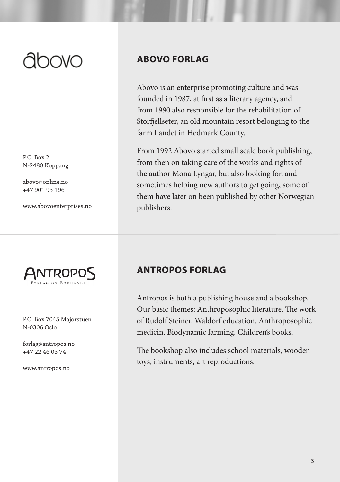P.O. Box 2 N-2480 Koppang

abovo@online.no +47 901 93 196

www.abovoenterprises.no



P.O. Box 7045 Majorstuen N-0306 Oslo

forlag@antropos.no +47 22 46 03 74

www.antropos.no

#### **ABOVO FORLAG**

Abovo is an enterprise promoting culture and was founded in 1987, at first as a literary agency, and from 1990 also responsible for the rehabilitation of Storfjellseter, an old mountain resort belonging to the farm Landet in Hedmark County.

From 1992 Abovo started small scale book publishing, from then on taking care of the works and rights of the author Mona Lyngar, but also looking for, and sometimes helping new authors to get going, some of them have later on been published by other Norwegian publishers.

#### **ANTROPOS FORLAG**

Antropos is both a publishing house and a bookshop. Our basic themes: Anthroposophic literature. The work of Rudolf Steiner. Waldorf education. Anthroposophic medicin. Biodynamic farming. Children's books.

The bookshop also includes school materials, wooden toys, instruments, art reproductions.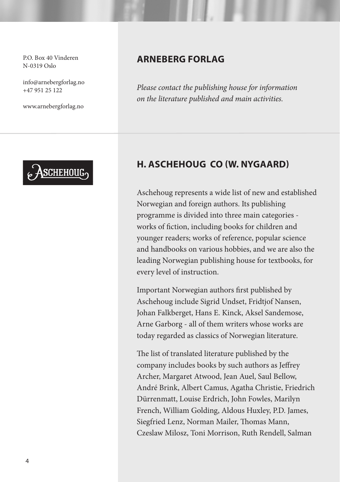P.O. Box 40 Vinderen N-0319 Oslo

info@arnebergforlag.no +47 951 25 122

www.arnebergforlag.no



#### **ARNEBERG FORLAG**

*Please contact the publishing house for information on the literature published and main activities.*

#### **H. ASCHEHOUG CO (W. NYGAARD)**

Aschehoug represents a wide list of new and established Norwegian and foreign authors. Its publishing programme is divided into three main categories works of fiction, including books for children and younger readers; works of reference, popular science and handbooks on various hobbies, and we are also the leading Norwegian publishing house for textbooks, for every level of instruction.

Important Norwegian authors first published by Aschehoug include Sigrid Undset, Fridtjof Nansen, Johan Falkberget, Hans E. Kinck, Aksel Sandemose, Arne Garborg - all of them writers whose works are today regarded as classics of Norwegian literature.

The list of translated literature published by the company includes books by such authors as Jeffrey Archer, Margaret Atwood, Jean Auel, Saul Bellow, André Brink, Albert Camus, Agatha Christie, Friedrich Dürrenmatt, Louise Erdrich, John Fowles, Marilyn French, William Golding, Aldous Huxley, P.D. James, Siegfried Lenz, Norman Mailer, Thomas Mann, Czeslaw Milosz, Toni Morrison, Ruth Rendell, Salman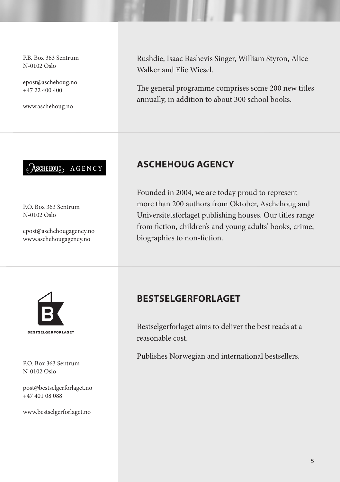P.B. Box 363 Sentrum N-0102 Oslo

epost@aschehoug.no +47 22 400 400

www.aschehoug.no



P.O. Box 363 Sentrum N-0102 Oslo

epost@aschehougagency.no www.aschehougagency.no

Rushdie, Isaac Bashevis Singer, William Styron, Alice Walker and Elie Wiesel.

The general programme comprises some 200 new titles annually, in addition to about 300 school books.

#### **ASCHEHOUG AGENCY**

Founded in 2004, we are today proud to represent more than 200 authors from Oktober, Aschehoug and Universitetsforlaget publishing houses. Our titles range from fiction, children's and young adults' books, crime, biographies to non-fiction.



P.O. Box 363 Sentrum N-0102 Oslo

post@bestselgerforlaget.no +47 401 08 088

www.bestselgerforlaget.no

#### **BESTSELGERFORLAGET**

Bestselgerforlaget aims to deliver the best reads at a reasonable cost.

Publishes Norwegian and international bestsellers.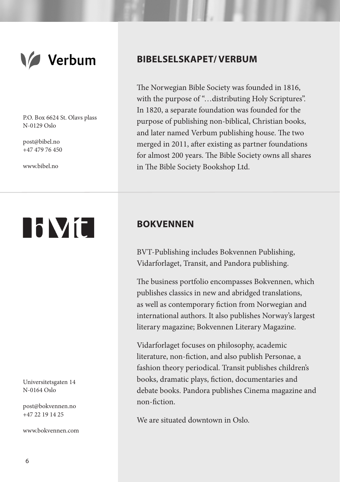

P.O. Box 6624 St. Olavs plass N-0129 Oslo

post@bibel.no +47 479 76 450

www.bibel.no

# **NVC**

Universitetsgaten 14 N-0164 Oslo

post@bokvennen.no +47 22 19 14 25

www.bokvennen.com

#### **BIBELSELSKAPET/ VERBUM**

The Norwegian Bible Society was founded in 1816, with the purpose of "…distributing Holy Scriptures". In 1820, a separate foundation was founded for the purpose of publishing non-biblical, Christian books, and later named Verbum publishing house. The two merged in 2011, after existing as partner foundations for almost 200 years. The Bible Society owns all shares in The Bible Society Bookshop Ltd.

#### **BOKVENNEN**

BVT-Publishing includes Bokvennen Publishing, Vidarforlaget, Transit, and Pandora publishing.

The business portfolio encompasses Bokvennen, which publishes classics in new and abridged translations, as well as contemporary fiction from Norwegian and international authors. It also publishes Norway's largest literary magazine; Bokvennen Literary Magazine.

Vidarforlaget focuses on philosophy, academic literature, non-fiction, and also publish Personae, a fashion theory periodical. Transit publishes children's books, dramatic plays, fiction, documentaries and debate books. Pandora publishes Cinema magazine and non-fiction.

We are situated downtown in Oslo.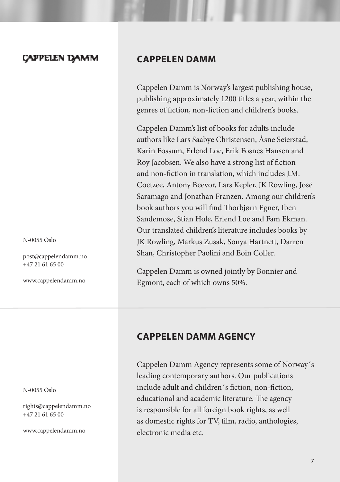#### **CAPPELEN DAMM**

N-0055 Oslo

post@cappelendamm.no +47 21 61 65 00

www.cappelendamm.no

N-0055 Oslo

rights@cappelendamm.no +47 21 61 65 00

www.cappelendamm.no

#### **CAPPELEN DAMM**

Cappelen Damm is Norway's largest publishing house, publishing approximately 1200 titles a year, within the genres of fiction, non-fiction and children's books.

Cappelen Damm's list of books for adults include authors like Lars Saabye Christensen, Åsne Seierstad, Karin Fossum, Erlend Loe, Erik Fosnes Hansen and Roy Jacobsen. We also have a strong list of fiction and non-fiction in translation, which includes J.M. Coetzee, Antony Beevor, Lars Kepler, JK Rowling, José Saramago and Jonathan Franzen. Among our children's book authors you will find Thorbjørn Egner, Iben Sandemose, Stian Hole, Erlend Loe and Fam Ekman. Our translated children's literature includes books by JK Rowling, Markus Zusak, Sonya Hartnett, Darren Shan, Christopher Paolini and Eoin Colfer.

Cappelen Damm is owned jointly by Bonnier and Egmont, each of which owns 50%.

#### **CAPPELEN DAMM AGENCY**

Cappelen Damm Agency represents some of Norway´s leading contemporary authors. Our publications include adult and children´s fiction, non-fiction, educational and academic literature. The agency is responsible for all foreign book rights, as well as domestic rights for TV, film, radio, anthologies, electronic media etc.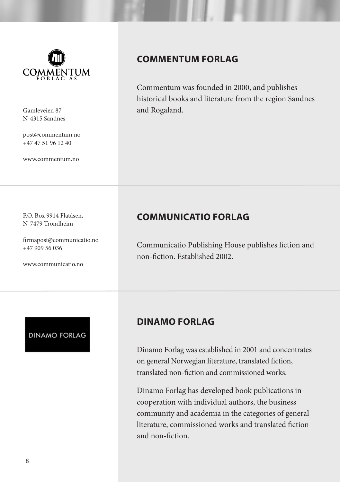

N-4315 Sandnes

post@commentum.no +47 47 51 96 12 40

www.commentum.no

P.O. Box 9914 Flatåsen, N-7479 Trondheim

www.communicatio.no

+47 909 56 036

firmapost@communicatio.no

#### **COMMENTUM FORLAG**

Commentum was founded in 2000, and publishes historical books and literature from the region Sandnes Gamleveien 87 and Rogaland.

#### **COMMUNICATIO FORLAG**

Communicatio Publishing House publishes fiction and non-fiction. Established 2002.

### **DINAMO FORLAG**

#### **DINAMO FORLAG**

Dinamo Forlag was established in 2001 and concentrates on general Norwegian literature, translated fiction, translated non-fiction and commissioned works.

Dinamo Forlag has developed book publications in cooperation with individual authors, the business community and academia in the categories of general literature, commissioned works and translated fiction and non-fiction.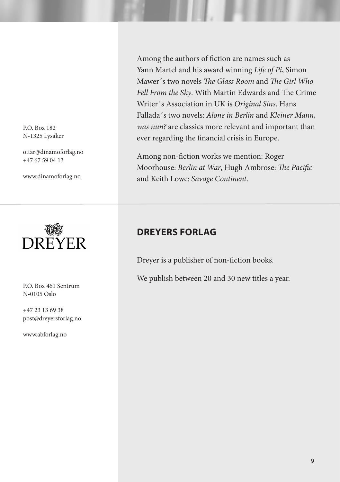P.O. Box 182 N-1325 Lysaker

ottar@dinamoforlag.no +47 67 59 04 13

www.dinamoforlag.no



P.O. Box 461 Sentrum N-0105 Oslo

+47 23 13 69 38 post@dreyersforlag.no

www.abforlag.no

Among the authors of fiction are names such as Yann Martel and his award winning *Life of Pi*, Simon Mawer´s two novels *The Glass Room* and *The Girl Who Fell From the Sky*. With Martin Edwards and The Crime Writer´s Association in UK is *Original Sins*. Hans Fallada´s two novels: *Alone in Berlin* and *Kleiner Mann, was nun?* are classics more relevant and important than ever regarding the financial crisis in Europe.

Among non-fiction works we mention: Roger Moorhouse: *Berlin at War*, Hugh Ambrose: *The Pacific*  and Keith Lowe: *Savage Continent*.

#### **DREYERS FORLAG**

Dreyer is a publisher of non-fiction books.

We publish between 20 and 30 new titles a year.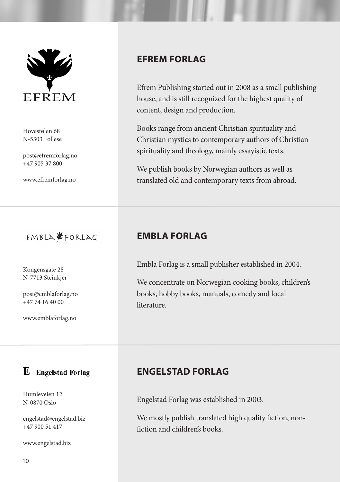

Hovestølen 68 N-5303 Follese

post@efremforlag.no +47 905 37 800

www.efremforlag.no



Kongensgate 28 N-7713 Steinkjer

post@emblaforlag.no +47 74 16 40 00

www.emblaforlag.no

#### $\mathbf E$  Engelstad Forlag

Humleveien 12 N-0870 Oslo

engelstad@engelstad.biz +47 900 51 417

www.engelstad.biz

#### **EFREM FORLAG**

Efrem Publishing started out in 2008 as a small publishing house, and is still recognized for the highest quality of content, design and production.

Books range from ancient Christian spirituality and Christian mystics to contemporary authors of Christian spirituality and theology, mainly essayistic texts.

We publish books by Norwegian authors as well as translated old and contemporary texts from abroad.

#### **EMBLA FORLAG**

Embla Forlag is a small publisher established in 2004.

We concentrate on Norwegian cooking books, children's books, hobby books, manuals, comedy and local literature.

#### **ENGELSTAD FORLAG**

Engelstad Forlag was established in 2003.

We mostly publish translated high quality fiction, nonfiction and children's books.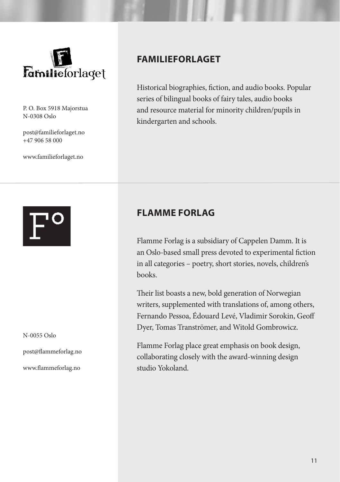

P. O. Box 5918 Majorstua N-0308 Oslo

post@familieforlaget.no +47 906 58 000

www.familieforlaget.no

N-0055 Oslo

post@flammeforlag.no

www.flammeforlag.no

#### **FAMILIEFORLAGET**

Historical biographies, fiction, and audio books. Popular series of bilingual books of fairy tales, audio books and resource material for minority children/pupils in kindergarten and schools.

#### **FLAMME FORLAG**

Flamme Forlag is a subsidiary of Cappelen Damm. It is an Oslo-based small press devoted to experimental fiction in all categories – poetry, short stories, novels, children's books.

Their list boasts a new, bold generation of Norwegian writers, supplemented with translations of, among others, Fernando Pessoa, Édouard Levé, Vladimir Sorokin, Geoff Dyer, Tomas Tranströmer, and Witold Gombrowicz.

Flamme Forlag place great emphasis on book design, collaborating closely with the award-winning design studio Yokoland.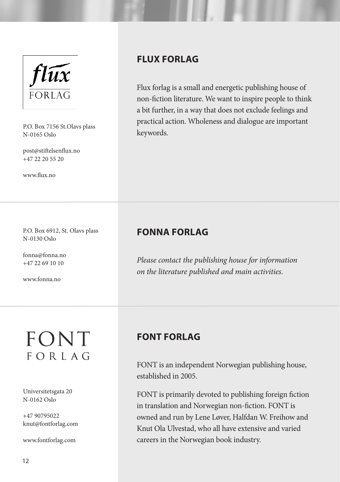

P.O. Box 7156 St.Olavs plass<br>N.0165 Oslo keywords. N-0165 Oslo

post@stiftelsenflux.no +47 22 20 55 20

www.flux.no

#### **FLUX FORLAG**

Flux forlag is a small and energetic publishing house of non-fiction literature. We want to inspire people to think a bit further, in a way that does not exclude feelings and practical action. Wholeness and dialogue are important

#### P.O. Box 6912, St. Olavs plass N-0130 Oslo

fonna@fonna.no +47 22 69 10 10

www.fonna.no

#### **FONNA FORLAG**

*Please contact the publishing house for information on the literature published and main activities.*

### FONT FORLAG

Universitetsgata 20 N-0162 Oslo

+47 90795022 knut@fontforlag.com

www.fontforlag.com

#### **FONT FORLAG**

FONT is an independent Norwegian publishing house, established in 2005.

FONT is primarily devoted to publishing foreign fiction in translation and Norwegian non-fiction. FONT is owned and run by Lene Løver, Halfdan W. Freihow and Knut Ola Ulvestad, who all have extensive and varied careers in the Norwegian book industry.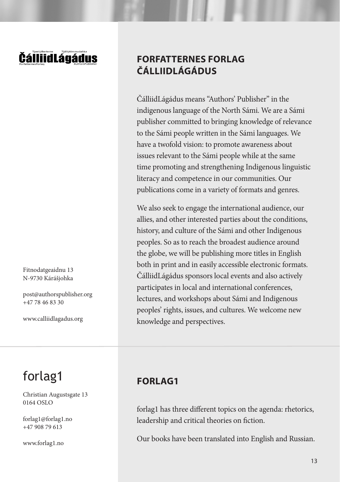### DállijdLágádus

Fitnodatgeaidnu 13 N-9730 Kárášjohka

post@authorspublisher.org +47 78 46 83 30

www.calliidlagadus.org

### forlag1

Christian Augustsgate 13 0164 OSLO

forlag1@forlag1.no +47 908 79 613

www.forlag1.no

#### **FORFATTERNES FORLAG ČÁLLIIDLÁGÁDUS**

ČálliidLágádus means "Authors' Publisher" in the indigenous language of the North Sámi. We are a Sámi publisher committed to bringing knowledge of relevance to the Sámi people written in the Sámi languages. We have a twofold vision: to promote awareness about issues relevant to the Sámi people while at the same time promoting and strengthening Indigenous linguistic literacy and competence in our communities. Our publications come in a variety of formats and genres.

We also seek to engage the international audience, our allies, and other interested parties about the conditions, history, and culture of the Sámi and other Indigenous peoples. So as to reach the broadest audience around the globe, we will be publishing more titles in English both in print and in easily accessible electronic formats. ČálliidLágádus sponsors local events and also actively participates in local and international conferences, lectures, and workshops about Sámi and Indigenous peoples' rights, issues, and cultures. We welcome new knowledge and perspectives.

#### **FORLAG1**

forlag1 has three different topics on the agenda: rhetorics, leadership and critical theories on fiction.

Our books have been translated into English and Russian.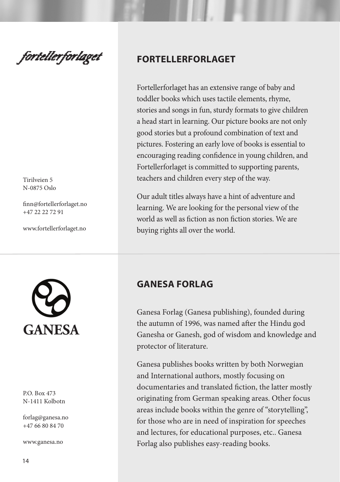fortellerforlaget

Tirilveien 5 N-0875 Oslo

finn@fortellerforlaget.no +47 22 22 72 91

www.fortellerforlaget.no



#### P.O. Box 473 N-1411 Kolbotn

forlag@ganesa.no +47 66 80 84 70

www.ganesa.no

#### **FORTELLERFORLAGET**

Fortellerforlaget has an extensive range of baby and toddler books which uses tactile elements, rhyme, stories and songs in fun, sturdy formats to give children a head start in learning. Our picture books are not only good stories but a profound combination of text and pictures. Fostering an early love of books is essential to encouraging reading confidence in young children, and Fortellerforlaget is committed to supporting parents, teachers and children every step of the way.

Our adult titles always have a hint of adventure and learning. We are looking for the personal view of the world as well as fiction as non fiction stories. We are buying rights all over the world.

#### **GANESA FORLAG**

Ganesa Forlag (Ganesa publishing), founded during the autumn of 1996, was named after the Hindu god Ganesha or Ganesh, god of wisdom and knowledge and protector of literature.

Ganesa publishes books written by both Norwegian and International authors, mostly focusing on documentaries and translated fiction, the latter mostly originating from German speaking areas. Other focus areas include books within the genre of "storytelling", for those who are in need of inspiration for speeches and lectures, for educational purposes, etc.. Ganesa Forlag also publishes easy-reading books.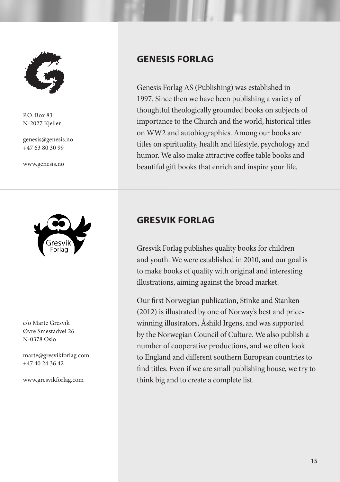

P.O. Box 83 N-2027 Kjeller

genesis@genesis.no +47 63 80 30 99

www.genesis.no



c/o Marte Gresvik Øvre Smestadvei 26 N-0378 Oslo

marte@gresvikforlag.com +47 40 24 36 42

www.gresvikforlag.com

#### **GENESIS FORLAG**

Genesis Forlag AS (Publishing) was established in 1997. Since then we have been publishing a variety of thoughtful theologically grounded books on subjects of importance to the Church and the world, historical titles on WW2 and autobiographies. Among our books are titles on spirituality, health and lifestyle, psychology and humor. We also make attractive coffee table books and beautiful gift books that enrich and inspire your life.

#### **GRESVIK FORLAG**

Gresvik Forlag publishes quality books for children and youth. We were established in 2010, and our goal is to make books of quality with original and interesting illustrations, aiming against the broad market.

Our first Norwegian publication, Stinke and Stanken (2012) is illustrated by one of Norway's best and pricewinning illustrators, Åshild Irgens, and was supported by the Norwegian Council of Culture. We also publish a number of cooperative productions, and we often look to England and different southern European countries to find titles. Even if we are small publishing house, we try to think big and to create a complete list.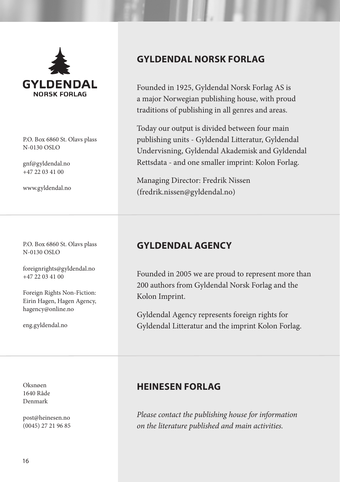

P.O. Box 6860 St. Olavs plass N-0130 OSLO

gnf@gyldendal.no  $+47$  22 03 41 00

www.gyldendal.no

P.O. Box 6860 St. Olavs plass N-0130 OSLO

foreignrights@gyldendal.no +47 22 03 41 00

Foreign Rights Non-Fiction: Eirin Hagen, Hagen Agency, hagency@online.no

eng.gyldendal.no

Oksnøen 1640 Råde Denmark

post@heinesen.no (0045) 27 21 96 85

#### **GYLDENDAL NORSK FORLAG**

Founded in 1925, Gyldendal Norsk Forlag AS is a major Norwegian publishing house, with proud traditions of publishing in all genres and areas.

Today our output is divided between four main publishing units - Gyldendal Litteratur, Gyldendal Undervisning, Gyldendal Akademisk and Gyldendal Rettsdata - and one smaller imprint: Kolon Forlag.

Managing Director: Fredrik Nissen (fredrik.nissen@gyldendal.no)

#### **GYLDENDAL AGENCY**

Founded in 2005 we are proud to represent more than 200 authors from Gyldendal Norsk Forlag and the Kolon Imprint.

Gyldendal Agency represents foreign rights for Gyldendal Litteratur and the imprint Kolon Forlag.

#### **HEINESEN FORLAG**

*Please contact the publishing house for information on the literature published and main activities.*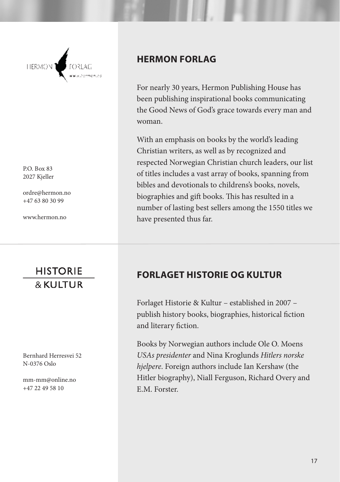

P.O. Box 83 2027 Kjeller

ordre@hermon.no +47 63 80 30 99

www.hermon.no

### **HISTORIE** & KUITUR

Bernhard Herresvei 52 N-0376 Oslo

mm-mm@online.no +47 22 49 58 10

#### **HERMON FORLAG**

For nearly 30 years, Hermon Publishing House has been publishing inspirational books communicating the Good News of God's grace towards every man and woman.

With an emphasis on books by the world's leading Christian writers, as well as by recognized and respected Norwegian Christian church leaders, our list of titles includes a vast array of books, spanning from bibles and devotionals to childrens's books, novels, biographies and gift books. This has resulted in a number of lasting best sellers among the 1550 titles we have presented thus far.

#### **FORLAGET HISTORIE OG KULTUR**

Forlaget Historie & Kultur – established in 2007 – publish history books, biographies, historical fiction and literary fiction.

Books by Norwegian authors include Ole O. Moens *USAs presidenter* and Nina Kroglunds *Hitlers norske hjelpere*. Foreign authors include Ian Kershaw (the Hitler biography), Niall Ferguson, Richard Overy and E.M. Forster.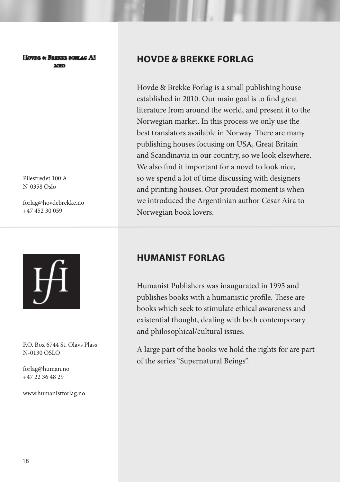#### Howns & Banton postag AS **Service**

Pilestredet 100 A N-0358 Oslo

forlag@hovdebrekke.no +47 452 30 059



P.O. Box 6744 St. Olavs Plass N-0130 OSLO

forlag@human.no +47 22 36 48 29

www.humanistforlag.no

#### **HOVDE & BREKKE FORLAG**

Hovde & Brekke Forlag is a small publishing house established in 2010. Our main goal is to find great literature from around the world, and present it to the Norwegian market. In this process we only use the best translators available in Norway. There are many publishing houses focusing on USA, Great Britain and Scandinavia in our country, so we look elsewhere. We also find it important for a novel to look nice, so we spend a lot of time discussing with designers and printing houses. Our proudest moment is when we introduced the Argentinian author César Aira to Norwegian book lovers.

#### **HUMANIST FORLAG**

Humanist Publishers was inaugurated in 1995 and publishes books with a humanistic profile. These are books which seek to stimulate ethical awareness and existential thought, dealing with both contemporary and philosophical/cultural issues.

A large part of the books we hold the rights for are part of the series "Supernatural Beings".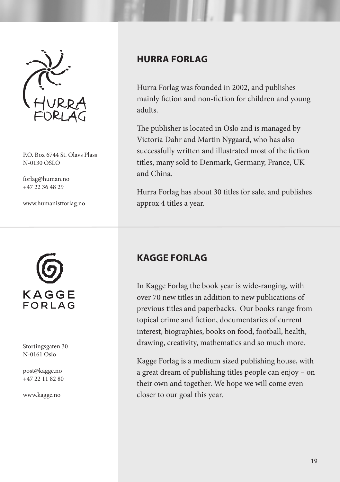

P.O. Box 6744 St. Olavs Plass N-0130 OSLO

forlag@human.no +47 22 36 48 29

www.humanistforlag.no

# KAGGE  $FORIAG$

Stortingsgaten 30 N-0161 Oslo

post@kagge.no +47 22 11 82 80

www.kagge.no

#### **HURRA FORLAG**

Hurra Forlag was founded in 2002, and publishes mainly fiction and non-fiction for children and young adults.

The publisher is located in Oslo and is managed by Victoria Dahr and Martin Nygaard, who has also successfully written and illustrated most of the fiction titles, many sold to Denmark, Germany, France, UK and China.

Hurra Forlag has about 30 titles for sale, and publishes approx 4 titles a year.

#### **KAGGE FORLAG**

In Kagge Forlag the book year is wide-ranging, with over 70 new titles in addition to new publications of previous titles and paperbacks. Our books range from topical crime and fiction, documentaries of current interest, biographies, books on food, football, health, drawing, creativity, mathematics and so much more.

Kagge Forlag is a medium sized publishing house, with a great dream of publishing titles people can enjoy – on their own and together. We hope we will come even closer to our goal this year.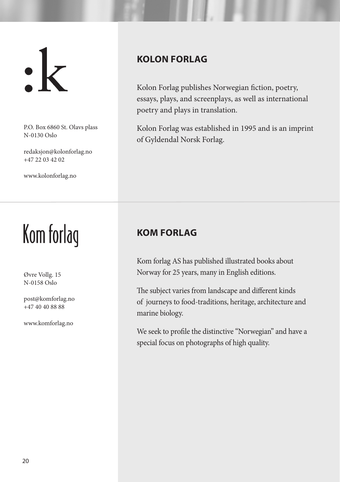$\cdot$   $\mathbf{k}$ 

P.O. Box 6860 St. Olavs plass N-0130 Oslo

redaksjon@kolonforlag.no +47 22 03 42 02

www.kolonforlag.no

# Kom forlag

Øvre Vollg. 15 N-0158 Oslo

post@komforlag.no +47 40 40 88 88

www.komforlag.no

#### **KOLON FORLAG**

Kolon Forlag publishes Norwegian fiction, poetry, essays, plays, and screenplays, as well as international poetry and plays in translation.

Kolon Forlag was established in 1995 and is an imprint of Gyldendal Norsk Forlag.

#### **KOM FORLAG**

Kom forlag AS has published illustrated books about Norway for 25 years, many in English editions.

The subject varies from landscape and different kinds of journeys to food-traditions, heritage, architecture and marine biology.

We seek to profile the distinctive "Norwegian" and have a special focus on photographs of high quality.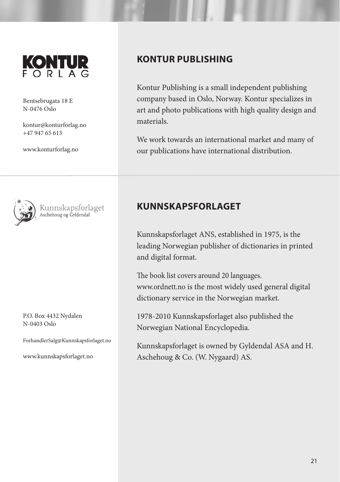

Bentsebrugata 18 E N-0476 Oslo

kontur@konturforlag.no +47 947 65 613

www.konturforlag.no

Kunnskapsforlaget<br>Aschehoug og Gyldendal

P.O. Box 4432 Nydalen N-0403 Oslo

ForhandlerSalg@Kunnskapsforlaget.no

www.kunnskapsforlaget.no

#### **KONTUR PUBLISHING**

Kontur Publishing is a small independent publishing company based in Oslo, Norway. Kontur specializes in art and photo publications with high quality design and materials.

We work towards an international market and many of our publications have international distribution.

#### **KUNNSKAPSFORLAGET**

Kunnskapsforlaget ANS, established in 1975, is the leading Norwegian publisher of dictionaries in printed and digital format.

The book list covers around 20 languages. www.ordnett.no is the most widely used general digital dictionary service in the Norwegian market.

1978-2010 Kunnskapsforlaget also published the Norwegian National Encyclopedia.

Kunnskapsforlaget is owned by Gyldendal ASA and H. Aschehoug & Co. (W. Nygaard) AS.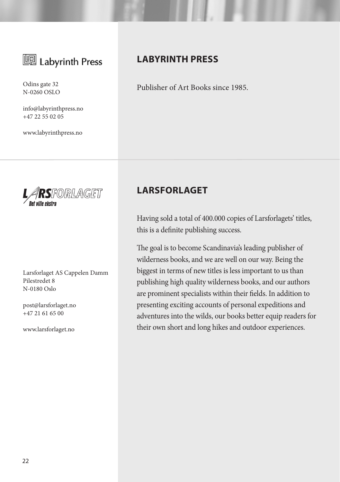

N-0260 OSLO

info@labyrinthpress.no +47 22 55 02 05

www.labyrinthpress.no



Larsforlaget AS Cappelen Damm Pilestredet 8 N-0180 Oslo

post@larsforlaget.no +47 21 61 65 00

www.larsforlaget.no

#### **LABYRINTH PRESS**

Odins gate 32 Publisher of Art Books since 1985.

#### **LARSFORLAGET**

Having sold a total of 400.000 copies of Larsforlagets' titles, this is a definite publishing success.

The goal is to become Scandinavia's leading publisher of wilderness books, and we are well on our way. Being the biggest in terms of new titles is less important to us than publishing high quality wilderness books, and our authors are prominent specialists within their fields. In addition to presenting exciting accounts of personal expeditions and adventures into the wilds, our books better equip readers for their own short and long hikes and outdoor experiences.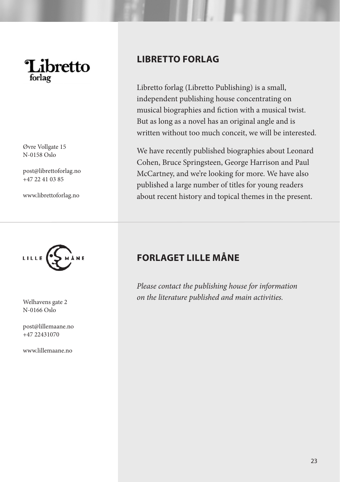

Øvre Vollgate 15 N-0158 Oslo

post@librettoforlag.no +47 22 41 03 85

www.librettoforlag.no



N-0166 Oslo

post@lillemaane.no +47 22431070

www.lillemaane.no

#### **LIBRETTO FORLAG**

Libretto forlag (Libretto Publishing) is a small, independent publishing house concentrating on musical biographies and fiction with a musical twist. But as long as a novel has an original angle and is written without too much conceit, we will be interested.

We have recently published biographies about Leonard Cohen, Bruce Springsteen, George Harrison and Paul McCartney, and we're looking for more. We have also published a large number of titles for young readers about recent history and topical themes in the present.

#### **FORLAGET LILLE MÅNE**

*Please contact the publishing house for information on the literature published and main activities.* Welhavens gate 2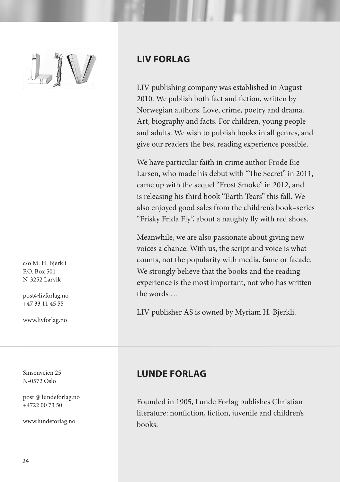

c/o M. H. Bjerkli P.O. Box 501 N-3252 Larvik

post@livforlag.no +47 33 11 45 55

www.livforlag.no

Sinsenveien 25 N-0572 Oslo

post @ lundeforlag.no +4722 00 73 50

www.lundeforlag.no

#### **LIV FORLAG**

LIV publishing company was established in August 2010. We publish both fact and fiction, written by Norwegian authors. Love, crime, poetry and drama. Art, biography and facts. For children, young people and adults. We wish to publish books in all genres, and give our readers the best reading experience possible.

We have particular faith in crime author Frode Eie Larsen, who made his debut with "The Secret" in 2011, came up with the sequel "Frost Smoke" in 2012, and is releasing his third book "Earth Tears" this fall. We also enjoyed good sales from the children's book–series "Frisky Frida Fly", about a naughty fly with red shoes.

Meanwhile, we are also passionate about giving new voices a chance. With us, the script and voice is what counts, not the popularity with media, fame or facade. We strongly believe that the books and the reading experience is the most important, not who has written the words

LIV publisher AS is owned by Myriam H. Bjerkli.

#### **LUNDE FORLAG**

Founded in 1905, Lunde Forlag publishes Christian literature: nonfiction, fiction, juvenile and children's books.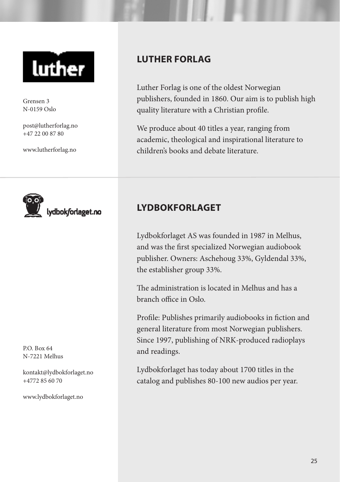

Grensen 3 N-0159 Oslo

post@lutherforlag.no +47 22 00 87 80

www.lutherforlag.no



P.O. Box 64 N-7221 Melhus

kontakt@lydbokforlaget.no +4772 85 60 70

www.lydbokforlaget.no

#### **LUTHER FORLAG**

Luther Forlag is one of the oldest Norwegian publishers, founded in 1860. Our aim is to publish high quality literature with a Christian profile.

We produce about 40 titles a year, ranging from academic, theological and inspirational literature to children's books and debate literature.

#### **LYDBOKFORLAGET**

Lydbokforlaget AS was founded in 1987 in Melhus, and was the first specialized Norwegian audiobook publisher. Owners: Aschehoug 33%, Gyldendal 33%, the establisher group 33%.

The administration is located in Melhus and has a branch office in Oslo.

Profile: Publishes primarily audiobooks in fiction and general literature from most Norwegian publishers. Since 1997, publishing of NRK-produced radioplays and readings.

Lydbokforlaget has today about 1700 titles in the catalog and publishes 80-100 new audios per year.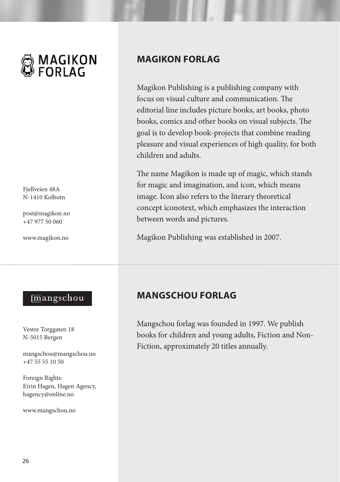

Fjellveien 48A N-1410 Kolbotn

post@magikon.no +47 977 50 060

www.magikon.no

#### **MAGIKON FORLAG**

Magikon Publishing is a publishing company with focus on visual culture and communication. The editorial line includes picture books, art books, photo books, comics and other books on visual subjects. The goal is to develop book-projects that combine reading pleasure and visual experiences of high quality, for both children and adults.

The name Magikon is made up of magic, which stands for magic and imagination, and icon, which means image. Icon also refers to the literary theoretical concept iconotext, which emphasizes the interaction between words and pictures.

Magikon Publishing was established in 2007.

#### mangschou

Vestre Torggaten 18 N-5015 Bergen

mangschou@mangschou.no +47 55 55 10 50

Foreign Rights: Eirin Hagen, Hagen Agency, hagency@online.no

www.mangschou.no

#### **MANGSCHOU FORLAG**

Mangschou forlag was founded in 1997. We publish books for children and young adults, Fiction and Non-Fiction, approximately 20 titles annually.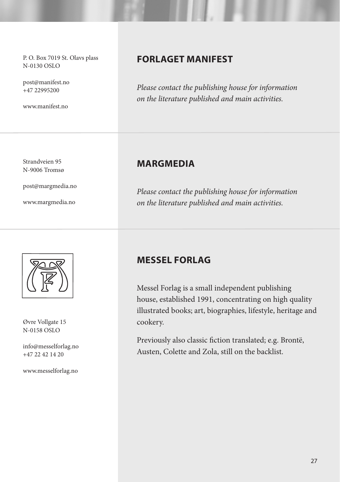P. O. Box 7019 St. Olavs plass N-0130 OSLO

post@manifest.no +47 22995200

www.manifest.no

Strandveien 95 N-9006 Tromsø

post@margmedia.no

www.margmedia.no



Øvre Vollgate 15 N-0158 OSLO

info@messelforlag.no  $+47$  22 42 14 20

www.messelforlag.no

#### **FORLAGET MANIFEST**

*Please contact the publishing house for information on the literature published and main activities.*

#### **MARGMEDIA**

*Please contact the publishing house for information on the literature published and main activities.*

#### **MESSEL FORLAG**

Messel Forlag is a small independent publishing house, established 1991, concentrating on high quality illustrated books; art, biographies, lifestyle, heritage and cookery.

Previously also classic fiction translated; e.g. Brontë, Austen, Colette and Zola, still on the backlist.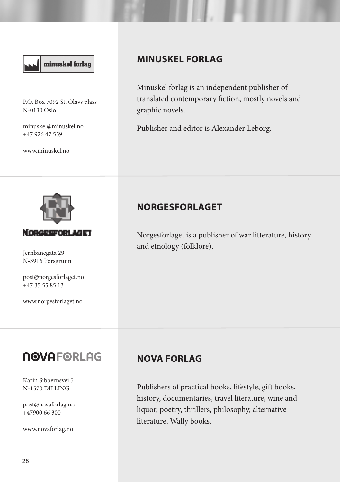### minuskel forlag

P.O. Box 7092 St. Olavs plass N-0130 Oslo

minuskel@minuskel.no +47 926 47 559

www.minuskel.no

#### **MINUSKEL FORLAG**

Minuskel forlag is an independent publisher of translated contemporary fiction, mostly novels and graphic novels.

Publisher and editor is Alexander Leborg.



N-3916 Porsgrunn

post@norgesforlaget.no +47 35 55 85 13

www.norgesforlaget.no

Karin Sibbernsvei 5 N-1570 DILLING

**NOVAFORLAG** 

post@novaforlag.no  $+47900$  66 300

www.novaforlag.no

#### **NORGESFORLAGET**

Norgesforlaget is a publisher of war litterature, history and etnology (folklore). Jernbanegata 29

#### **NOVA FORLAG**

Publishers of practical books, lifestyle, gift books, history, documentaries, travel literature, wine and liquor, poetry, thrillers, philosophy, alternative literature, Wally books.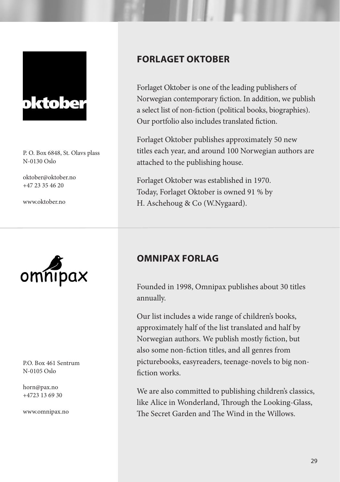

P. O. Box 6848, St. Olavs plass N-0130 Oslo

oktober@oktober.no +47 23 35 46 20

www.oktober.no



P.O. Box 461 Sentrum N-0105 Oslo

horn@pax.no +4723 13 69 30

www.omnipax.no

#### **FORLAGET OKTOBER**

Forlaget Oktober is one of the leading publishers of Norwegian contemporary fiction. In addition, we publish a select list of non-fiction (political books, biographies). Our portfolio also includes translated fiction.

Forlaget Oktober publishes approximately 50 new titles each year, and around 100 Norwegian authors are attached to the publishing house.

Forlaget Oktober was established in 1970. Today, Forlaget Oktober is owned 91 % by H. Aschehoug & Co (W.Nygaard).

#### **OMNIPAX FORLAG**

Founded in 1998, Omnipax publishes about 30 titles annually.

Our list includes a wide range of children's books, approximately half of the list translated and half by Norwegian authors. We publish mostly fiction, but also some non-fiction titles, and all genres from picturebooks, easyreaders, teenage-novels to big nonfiction works.

We are also committed to publishing children's classics, like Alice in Wonderland, Through the Looking-Glass, The Secret Garden and The Wind in the Willows.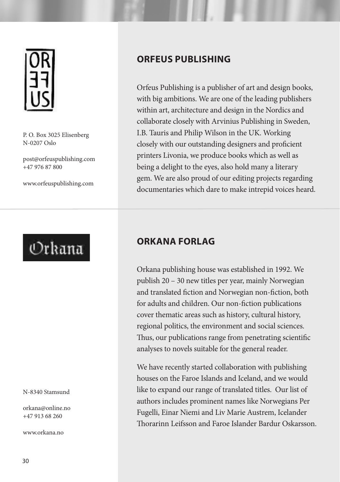

P. O. Box 3025 Elisenberg N-0207 Oslo

post@orfeuspublishing.com +47 976 87 800

www.orfeuspublishing.com

## Orkana

#### N-8340 Stamsund

orkana@online.no +47 913 68 260

www.orkana.no

#### **ORFEUS PUBLISHING**

Orfeus Publishing is a publisher of art and design books, with big ambitions. We are one of the leading publishers within art, architecture and design in the Nordics and collaborate closely with Arvinius Publishing in Sweden, I.B. Tauris and Philip Wilson in the UK. Working closely with our outstanding designers and proficient printers Livonia, we produce books which as well as being a delight to the eyes, also hold many a literary gem. We are also proud of our editing projects regarding documentaries which dare to make intrepid voices heard.

#### **ORKANA FORLAG**

Orkana publishing house was established in 1992. We publish 20 – 30 new titles per year, mainly Norwegian and translated fiction and Norwegian non-fiction, both for adults and children. Our non-fiction publications cover thematic areas such as history, cultural history, regional politics, the environment and social sciences. Thus, our publications range from penetrating scientific analyses to novels suitable for the general reader.

We have recently started collaboration with publishing houses on the Faroe Islands and Iceland, and we would like to expand our range of translated titles. Our list of authors includes prominent names like Norwegians Per Fugelli, Einar Niemi and Liv Marie Austrem, Icelander Thorarinn Leifsson and Faroe Islander Bardur Oskarsson.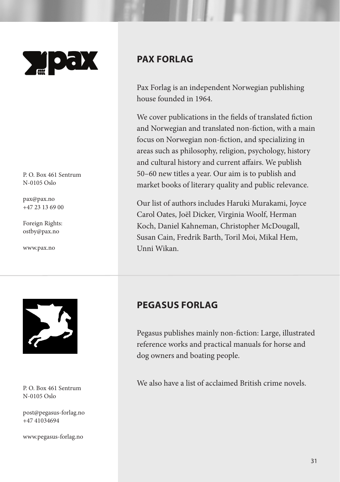

P. O. Box 461 Sentrum N-0105 Oslo

pax@pax.no +47 23 13 69 00

Foreign Rights: ostby@pax.no

www.pax.no

#### **PAX FORLAG**

Pax Forlag is an independent Norwegian publishing house founded in 1964.

We cover publications in the fields of translated fiction and Norwegian and translated non-fiction, with a main focus on Norwegian non-fiction, and specializing in areas such as philosophy, religion, psychology, history and cultural history and current affairs. We publish 50–60 new titles a year. Our aim is to publish and market books of literary quality and public relevance.

Our list of authors includes Haruki Murakami, Joyce Carol Oates, Joël Dicker, Virginia Woolf, Herman Koch, Daniel Kahneman, Christopher McDougall, Susan Cain, Fredrik Barth, Toril Moi, Mikal Hem, Unni Wikan.



P. O. Box 461 Sentrum N-0105 Oslo

post@pegasus-forlag.no +47 41034694

www.pegasus-forlag.no

#### **PEGASUS FORLAG**

Pegasus publishes mainly non-fiction: Large, illustrated reference works and practical manuals for horse and dog owners and boating people.

We also have a list of acclaimed British crime novels.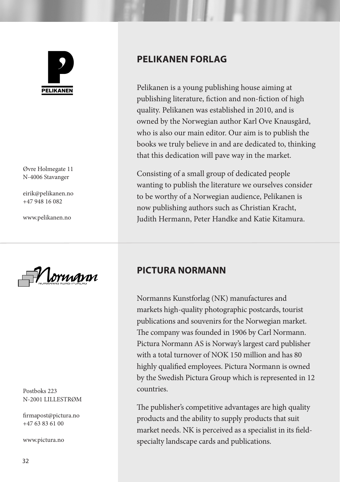

Øvre Holmegate 11 N-4006 Stavanger

eirik@pelikanen.no +47 948 16 082

www.pelikanen.no

NORMANNS KUNSTFORLAG

Postboks 223 N-2001 LILLESTRØM

firmapost@pictura.no +47 63 83 61 00

www.pictura.no

#### **PELIKANEN FORLAG**

Pelikanen is a young publishing house aiming at publishing literature, fiction and non-fiction of high quality. Pelikanen was established in 2010, and is owned by the Norwegian author Karl Ove Knausgård, who is also our main editor. Our aim is to publish the books we truly believe in and are dedicated to, thinking that this dedication will pave way in the market.

Consisting of a small group of dedicated people wanting to publish the literature we ourselves consider to be worthy of a Norwegian audience, Pelikanen is now publishing authors such as Christian Kracht, Judith Hermann, Peter Handke and Katie Kitamura.

#### **PICTURA NORMANN**

Normanns Kunstforlag (NK) manufactures and markets high-quality photographic postcards, tourist publications and souvenirs for the Norwegian market. The company was founded in 1906 by Carl Normann. Pictura Normann AS is Norway's largest card publisher with a total turnover of NOK 150 million and has 80 highly qualified employees. Pictura Normann is owned by the Swedish Pictura Group which is represented in 12 countries.

The publisher's competitive advantages are high quality products and the ability to supply products that suit market needs. NK is perceived as a specialist in its fieldspecialty landscape cards and publications.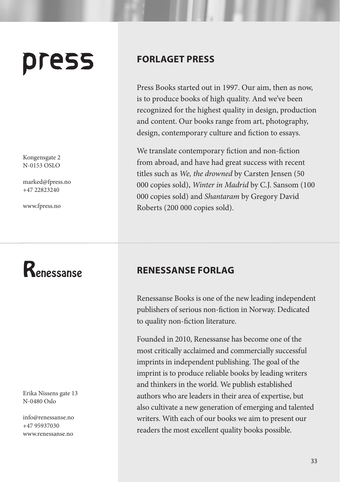# press

Kongensgate 2 N-0153 OSLO

marked@fpress.no +47 22823240

www.fpress.no

## Renessanse

Erika Nissens gate 13 N-0480 Oslo

info@renessanse.no +47 95937030 www.renessanse.no

#### **FORLAGET PRESS**

Press Books started out in 1997. Our aim, then as now, is to produce books of high quality. And we've been recognized for the highest quality in design, production and content. Our books range from art, photography, design, contemporary culture and fiction to essays.

We translate contemporary fiction and non-fiction from abroad, and have had great success with recent titles such as *We, the drowned* by Carsten Jensen (50 000 copies sold), *Winter in Madrid* by C.J. Sansom (100 000 copies sold) and *Shantaram* by Gregory David Roberts (200 000 copies sold).

#### **RENESSANSE FORLAG**

Renessanse Books is one of the new leading independent publishers of serious non-fiction in Norway. Dedicated to quality non-fiction literature.

Founded in 2010, Renessanse has become one of the most critically acclaimed and commercially successful imprints in independent publishing. The goal of the imprint is to produce reliable books by leading writers and thinkers in the world. We publish established authors who are leaders in their area of expertise, but also cultivate a new generation of emerging and talented writers. With each of our books we aim to present our readers the most excellent quality books possible.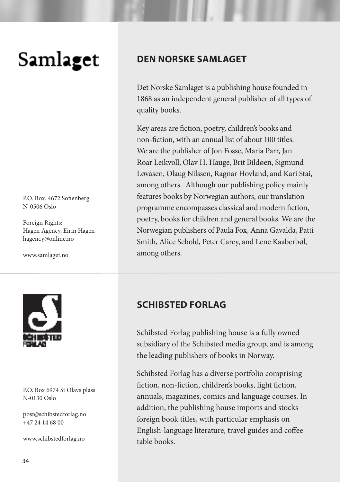# Samlaget

P.O. Box. 4672 Sofienberg N-0506 Oslo

Foreign Rights: Hagen Agency, Eirin Hagen hagency@online.no

www.samlaget.no



#### P.O. Box 6974 St Olavs plass N-0130 Oslo

post@schibstedforlag.no +47 24 14 68 00

www.schibstedforlag.no

#### **DEN NORSKE SAMLAGET**

Det Norske Samlaget is a publishing house founded in 1868 as an independent general publisher of all types of quality books.

Key areas are fiction, poetry, children's books and non-fiction, with an annual list of about 100 titles. We are the publisher of Jon Fosse, Maria Parr, Jan Roar Leikvoll, Olav H. Hauge, Brit Bildøen, Sigmund Løvåsen, Olaug Nilssen, Ragnar Hovland, and Kari Stai, among others. Although our publishing policy mainly features books by Norwegian authors, our translation programme encompasses classical and modern fiction, poetry, books for children and general books. We are the Norwegian publishers of Paula Fox, Anna Gavalda, Patti Smith, Alice Sebold, Peter Carey, and Lene Kaaberbøl, among others.

#### **SCHIBSTED FORLAG**

Schibsted Forlag publishing house is a fully owned subsidiary of the Schibsted media group, and is among the leading publishers of books in Norway.

Schibsted Forlag has a diverse portfolio comprising fiction, non-fiction, children's books, light fiction, annuals, magazines, comics and language courses. In addition, the publishing house imports and stocks foreign book titles, with particular emphasis on English-language literature, travel guides and coffee table books.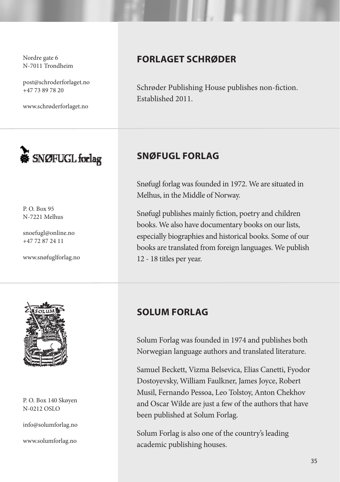Nordre gate 6 N-7011 Trondheim

post@schroderforlaget.no +47 73 89 78 20

www.schrøderforlaget.no



P. O. Box 95 N-7221 Melhus

snoefugl@online.no +47 72 87 24 11

www.snøfuglforlag.no



P. O. Box 140 Skøyen N-0212 OSLO

info@solumforlag.no

www.solumforlag.no

#### **FORLAGET SCHRØDER**

Schrøder Publishing House publishes non-fiction. Established 2011.

#### **SNØFUGL FORLAG**

Snøfugl forlag was founded in 1972. We are situated in Melhus, in the Middle of Norway.

Snøfugl publishes mainly fiction, poetry and children books. We also have documentary books on our lists, especially biographies and historical books. Some of our books are translated from foreign languages. We publish 12 - 18 titles per year.

#### **SOLUM FORLAG**

Solum Forlag was founded in 1974 and publishes both Norwegian language authors and translated literature.

Samuel Beckett, Vizma Belsevica, Elias Canetti, Fyodor Dostoyevsky, William Faulkner, James Joyce, Robert Musil, Fernando Pessoa, Leo Tolstoy, Anton Chekhov and Oscar Wilde are just a few of the authors that have been published at Solum Forlag.

Solum Forlag is also one of the country's leading academic publishing houses.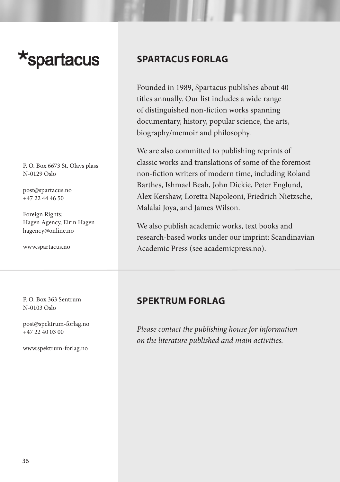## \*spartacus

P. O. Box 6673 St. Olavs plass N-0129 Oslo

post@spartacus.no +47 22 44 46 50

Foreign Rights: Hagen Agency, Eirin Hagen hagency@online.no

www.spartacus.no

P. O. Box 363 Sentrum N-0103 Oslo

post@spektrum-forlag.no  $+47$  22 40 03 00

www.spektrum-forlag.no

#### **SPARTACUS FORLAG**

Founded in 1989, Spartacus publishes about 40 titles annually. Our list includes a wide range of distinguished non-fiction works spanning documentary, history, popular science, the arts, biography/memoir and philosophy.

We are also committed to publishing reprints of classic works and translations of some of the foremost non-fiction writers of modern time, including Roland Barthes, Ishmael Beah, John Dickie, Peter Englund, Alex Kershaw, Loretta Napoleoni, Friedrich Nietzsche, Malalai Joya, and James Wilson.

We also publish academic works, text books and research-based works under our imprint: Scandinavian Academic Press (see academicpress.no).

#### **SPEKTRUM FORLAG**

*Please contact the publishing house for information on the literature published and main activities.*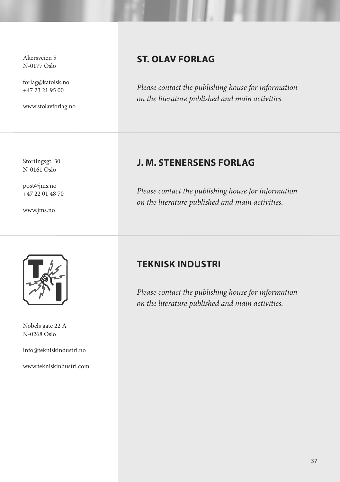Akersveien 5 N-0177 Oslo

forlag@katolsk.no +47 23 21 95 00

www.stolavforlag.no

Stortingsgt. 30 N-0161 Oslo

post@jms.no +47 22 01 48 70

www.jms.no



Nobels gate 22 A N-0268 Oslo

info@tekniskindustri.no

www.tekniskindustri.com

#### **ST. OLAV FORLAG**

*Please contact the publishing house for information on the literature published and main activities.*

#### **J. M. STENERSENS FORLAG**

*Please contact the publishing house for information on the literature published and main activities.*

#### **TEKNISK INDUSTRI**

*Please contact the publishing house for information on the literature published and main activities.*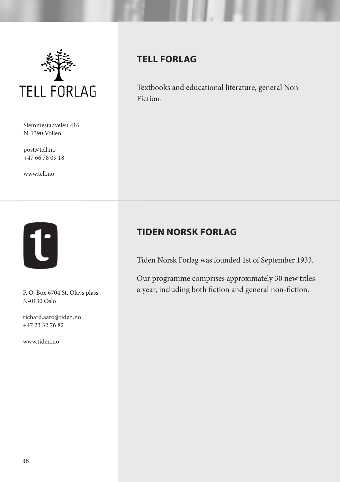

Slemmestadveien 416 N-1390 Vollen

post@tell.no +47 66 78 09 18

www.tell.no



N-0130 Oslo

richard.aaro@tiden.no +47 23 32 76 82

www.tiden.no

#### **TELL FORLAG**

Textbooks and educational literature, general Non-Fiction.

#### **TIDEN NORSK FORLAG**

Tiden Norsk Forlag was founded 1st of September 1933.

Our programme comprises approximately 30 new titles a year, including both fiction and general non-fiction. P. O. Box 6704 St. Olavs plass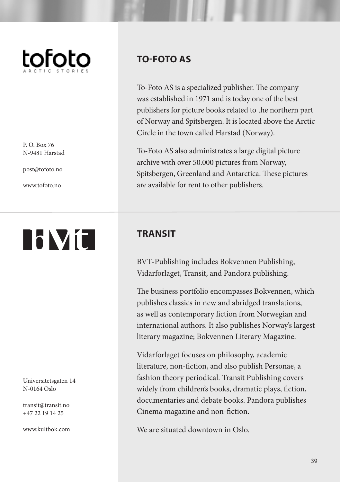

P. O. Box 76 N-9481 Harstad

post@tofoto.no

www.tofoto.no

# **NVC**

Universitetsgaten 14 N-0164 Oslo

transit@transit.no +47 22 19 14 25

www.kultbok.com

#### **TO-FOTO AS**

To-Foto AS is a specialized publisher. The company was established in 1971 and is today one of the best publishers for picture books related to the northern part of Norway and Spitsbergen. It is located above the Arctic Circle in the town called Harstad (Norway).

To-Foto AS also administrates a large digital picture archive with over 50.000 pictures from Norway, Spitsbergen, Greenland and Antarctica. These pictures are available for rent to other publishers.

#### **TRANSIT**

BVT-Publishing includes Bokvennen Publishing, Vidarforlaget, Transit, and Pandora publishing.

The business portfolio encompasses Bokvennen, which publishes classics in new and abridged translations, as well as contemporary fiction from Norwegian and international authors. It also publishes Norway's largest literary magazine; Bokvennen Literary Magazine.

Vidarforlaget focuses on philosophy, academic literature, non-fiction, and also publish Personae, a fashion theory periodical. Transit Publishing covers widely from children's books, dramatic plays, fiction, documentaries and debate books. Pandora publishes Cinema magazine and non-fiction.

We are situated downtown in Oslo.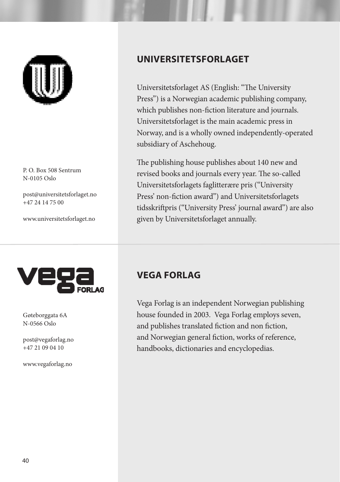

P. O. Box 508 Sentrum N-0105 Oslo

post@universitetsforlaget.no +47 24 14 75 00

www.universitetsforlaget.no



Gøteborggata 6A N-0566 Oslo

post@vegaforlag.no  $+47$  21 09 04 10

www.vegaforlag.no

#### **UNIVERSITETSFORLAGET**

Universitetsforlaget AS (English: "The University Press") is a Norwegian academic publishing company, which publishes non-fiction literature and journals. Universitetsforlaget is the main academic press in Norway, and is a wholly owned independently-operated subsidiary of Aschehoug.

The publishing house publishes about 140 new and revised books and journals every year. The so-called Universitetsforlagets faglitterære pris ("University Press' non-fiction award") and Universitetsforlagets tidsskriftpris ("University Press' journal award") are also given by Universitetsforlaget annually.

#### **VEGA FORLAG**

Vega Forlag is an independent Norwegian publishing house founded in 2003. Vega Forlag employs seven, and publishes translated fiction and non fiction, and Norwegian general fiction, works of reference, handbooks, dictionaries and encyclopedias.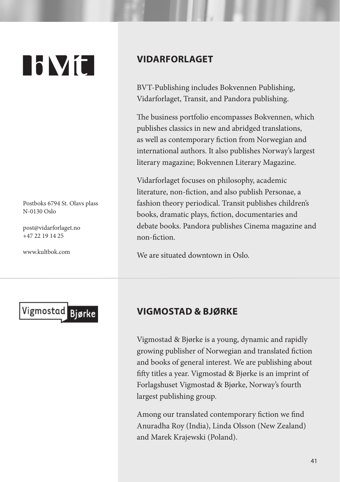# **NVC**

Postboks 6794 St. Olavs plass N-0130 Oslo

post@vidarforlaget.no +47 22 19 14 25

www.kultbok.com

#### **VIDARFORLAGET**

BVT-Publishing includes Bokvennen Publishing, Vidarforlaget, Transit, and Pandora publishing.

The business portfolio encompasses Bokvennen, which publishes classics in new and abridged translations, as well as contemporary fiction from Norwegian and international authors. It also publishes Norway's largest literary magazine; Bokvennen Literary Magazine.

Vidarforlaget focuses on philosophy, academic literature, non-fiction, and also publish Personae, a fashion theory periodical. Transit publishes children's books, dramatic plays, fiction, documentaries and debate books. Pandora publishes Cinema magazine and non-fiction.

We are situated downtown in Oslo.



#### **VIGMOSTAD & BJØRKE**

Vigmostad & Bjørke is a young, dynamic and rapidly growing publisher of Norwegian and translated fiction and books of general interest. We are publishing about fifty titles a year. Vigmostad & Bjørke is an imprint of Forlagshuset Vigmostad & Bjørke, Norway's fourth largest publishing group.

Among our translated contemporary fiction we find Anuradha Roy (India), Linda Olsson (New Zealand) and Marek Krajewski (Poland).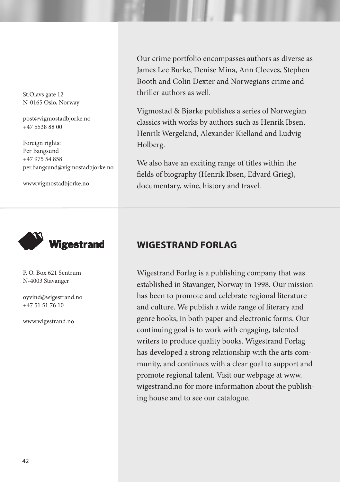St.Olavs gate 12 N-0165 Oslo, Norway

post@vigmostadbjorke.no +47 5538 88 00

Foreign rights: Per Bangsund +47 975 54 858 per.bangsund@vigmostadbjorke.no

www.vigmostadbjorke.no



P. O. Box 621 Sentrum N-4003 Stavanger

oyvind@wigestrand.no +47 51 51 76 10

www.wigestrand.no

Our crime portfolio encompasses authors as diverse as James Lee Burke, Denise Mina, Ann Cleeves, Stephen Booth and Colin Dexter and Norwegians crime and thriller authors as well.

Vigmostad & Bjørke publishes a series of Norwegian classics with works by authors such as Henrik Ibsen, Henrik Wergeland, Alexander Kielland and Ludvig Holberg.

We also have an exciting range of titles within the fields of biography (Henrik Ibsen, Edvard Grieg), documentary, wine, history and travel.

#### **WIGESTRAND FORLAG**

Wigestrand Forlag is a publishing company that was established in Stavanger, Norway in 1998. Our mission has been to promote and celebrate regional literature and culture. We publish a wide range of literary and genre books, in both paper and electronic forms. Our continuing goal is to work with engaging, talented writers to produce quality books. Wigestrand Forlag has developed a strong relationship with the arts community, and continues with a clear goal to support and promote regional talent. Visit our webpage at www. wigestrand.no for more information about the publishing house and to see our catalogue.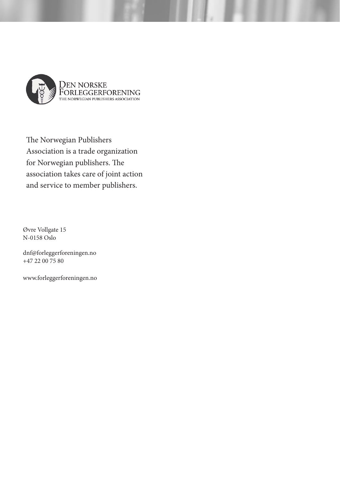

The Norwegian Publishers Association is a trade organization for Norwegian publishers. The association takes care of joint action and service to member publishers.

Øvre Vollgate 15 N-0158 Oslo

dnf@forleggerforeningen.no +47 22 00 75 80

www.forleggerforeningen.no